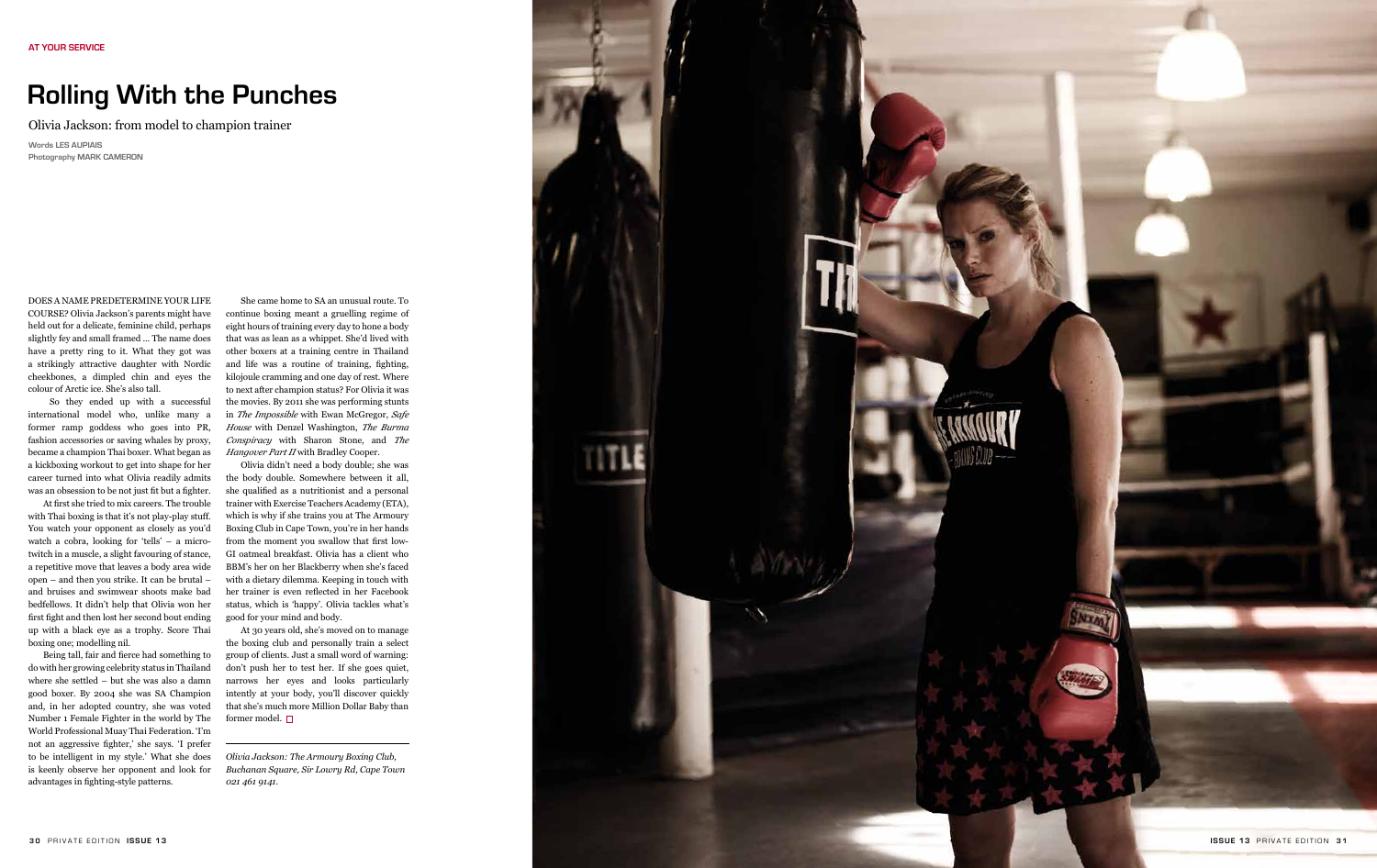Does a name pre determine your life course? Olivia Jackson's parents might have held out for a delicate, feminine child, perhaps slightly fey and small framed ... The name does have a pretty ring to it. What they got was a strikingly attractive daughter with Nordic cheekbones, a dimpled chin and eyes the colour of Arctic ice. She's also tall.

So they ended up with a successful international model who, unlike many a former ramp goddess who goes into PR, fashion accessories or saving whales by proxy, became a champion Thai boxer. What began as a kickboxing workout to get into shape for her career turned into what Olivia readily admits was an obsession to be not just fit but a fighter.

At first she tried to mix careers. The trouble with Thai boxing is that it's not play-play stuff. You watch your opponent as closely as you'd watch a cobra, looking for 'tells' – a microtwitch in a muscle, a slight favouring of stance, a repetitive move that leaves a body area wide open – and then you strike. It can be brutal – and bruises and swimwear shoots make bad bedfellows. It didn't help that Olivia won her first fight and then lost her second bout ending up with a black eye as a trophy. Score Thai boxing one; modelling nil.

At 30 years old, she's moved on to manage the boxing club and personally train a select group of clients. Just a small word of warning: don't push her to test her. If she goes quiet, narrows her eyes and looks particularly intently at your body, you'll discover quickly that she's much more Million Dollar Baby than former model.  $\Box$ 

Being tall, fair and fierce had something to do with her growing celebrity status in Thailand where she settled – but she was also a damn good boxer. By 2004 she was SA Champion and, in her adopted country, she was voted Number 1 Female Fighter in the world by The World Professional Muay Thai Federation. ' I'm not an aggressive fighter,' she says. ' I prefer to be intelligent in my style.' What she does is keenly observe her opponent and look for advantages in fighting-style patterns.

She came home to SA an unusual route. To continue boxing meant a gruelling regime of eight hours of training every day to hone a body that was as lean as a whippet. She'd lived with other boxers at a training centre in Thailand and life was a routine of training, fighting, kilojoule cramming and one day of rest. Where to next after champion status? For Olivia it was the movies. By 2011 she was performing stunts in *The Impossible* with Ewan McGregor, *Safe House* with Denzel Washington, *The Burma Conspiracy* with Sharon Stone, and *The Hangover Part II* with Bradley Cooper.

Olivia didn't need a body double; she was the body double. Somewhere between it all, she qualified as a nutritionist and a personal trainer with Exercise Teachers Academy (ETA), which is why if she trains you at The Armoury Boxing Club in Cape Town, you're in her hands from the moment you swallow that first low- GI oatmeal breakfast. Olivia has a client who BB M's her on her Blackberry when she's faced with a dietary dilemma. Keeping in touch with her trainer is even reflected in her Facebook status, which is 'happy'. Olivia tackles what's good for your mind and body.

*Olivia Jackson: The Armoury Boxing Club, Buchanan Square, Sir Lowry Rd, Cape Town 021 461 9141.*

Olivia Jackson: from model to champion trainer

## **Rolling With the Punches**

**Words LES AUPIAIS Photography MARK CAMERON**